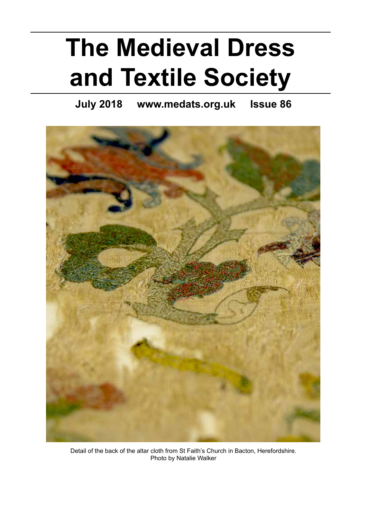# **The Medieval Dress and Textile Society**

**July 2018 www.medats.org.uk Issue 86**



Detail of the back of the altar cloth from St Faith's Church in Bacton, Herefordshire. Photo by Natalie Walker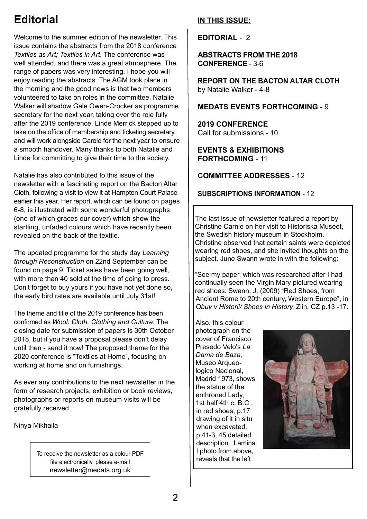### **Editorial**

Welcome to the summer edition of the newsletter. This issue contains the abstracts from the 2018 conference *Textiles as Art; Textiles in Art*. The conference was well attended, and there was a great atmosphere. The range of papers was very interesting, I hope you will enjoy reading the abstracts. The AGM took place in the morning and the good news is that two members volunteered to take on roles in the committee. Natalie Walker will shadow Gale Owen-Crocker as programme secretary for the next year, taking over the role fully after the 2019 conference. Linde Merrick stepped up to take on the office of membership and ticketing secretary, and will work alongside Carole for the next year to ensure a smooth handover. Many thanks to both Natalie and Linde for committing to give their time to the society.

Natalie has also contributed to this issue of the newsletter with a fascinating report on the Bacton Altar Cloth, following a visit to view it at Hampton Court Palace earlier this year. Her report, which can be found on pages 6-8, is illustrated with some wonderful photographs (one of which graces our cover) which show the startling, unfaded colours which have recently been revealed on the back of the textile.

The updated programme for the study day *Learning through Reconstruction* on 22nd September can be found on page 9. Ticket sales have been going well, with more than 40 sold at the time of going to press. Don't forget to buy yours if you have not yet done so, the early bird rates are available until July 31st!

The theme and title of the 2019 conference has been confirmed as *Wool: Cloth, Clothing and Culture*. The closing date for submission of papers is 30th October 2018, but if you have a proposal please don't delay until then - send it now! The proposed theme for the 2020 conference is "Textiles at Home", focusing on working at home and on furnishings.

As ever any contributions to the next newsletter in the form of research projects, exhibition or book reviews, photographs or reports on museum visits will be gratefully received.

Ninya Mikhaila

To receive the newsletter as a colour PDF file electronically, please e-mail newsletter@medats.org.uk

### **IN THIS ISSUE:**

**EDITORIAL** - 2

### **ABSTRACTS FROM THE 2018 CONFERENCE** - 3-6

**REPORT ON THE BACTON ALTAR CLOTH** by Natalie Walker - 4-8

### **MEDATS EVENTS FORTHCOMING** - 9

**2019 CONFERENCE** Call for submissions - 10

### **EVENTS & EXHIBITIONS FORTHCOMING** - 11

### **COMMITTEE ADDRESSES** - 12

### **SUBSCRIPTIONS INFORMATION** - 12

The last issue of newsletter featured a report by Christine Carnie on her visit to Historiska Museet, the Swedish history museum in Stockholm. Christine observed that certain saints were depicted wearing red shoes, and she invited thoughts on the subject. June Swann wrote in with the following:

"See my paper, which was researched after I had continually seen the Virgin Mary pictured wearing red shoes: Swann, J, (2009) "Red Shoes, from Ancient Rome to 20th century, Western Europe", in *Obuv v Historii/ Shoes in History,* Zlin, CZ p.13 -17.

Also, this colour photograph on the cover of Francisco Presedo Velo's *La Dama de Baza,*  Museo Arqueologico Nacional, Madrid 1973, shows the statue of the enthroned Lady, 1st half 4th c. B.C., in red shoes; p.17 drawing of it in situ when excavated. p.41-3, 45 detailed description. Lamina I photo from above, reveals that the left

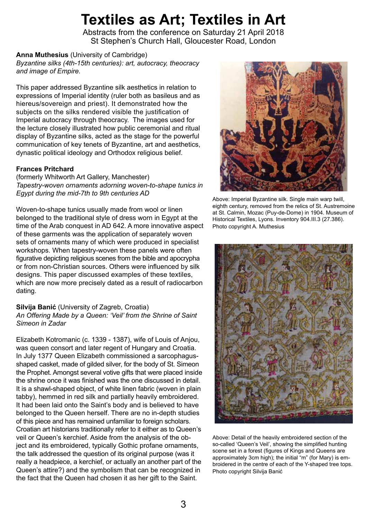## **Textiles as Art; Textiles in Art**

Abstracts from the conference on Saturday 21 April 2018 St Stephen's Church Hall, Gloucester Road, London

**Anna Muthesius** (University of Cambridge)

*Byzantine silks (4th-15th centuries): art, autocracy, theocracy and image of Empire.*

This paper addressed Byzantine silk aesthetics in relation to expressions of Imperial identity (ruler both as basileus and as hiereus/sovereign and priest). It demonstrated how the subjects on the silks rendered visible the justification of Imperial autocracy through theocracy. The images used for the lecture closely illustrated how public ceremonial and ritual display of Byzantine silks, acted as the stage for the powerful communication of key tenets of Byzantine, art and aesthetics, dynastic political ideology and Orthodox religious belief.

### **Frances Pritchard**

(formerly Whitworth Art Gallery, Manchester) *Tapestry-woven ornaments adorning woven-to-shape tunics in Egypt during the mid-7th to 9th centuries AD*

Woven-to-shape tunics usually made from wool or linen belonged to the traditional style of dress worn in Egypt at the time of the Arab conquest in AD 642. A more innovative aspect of these garments was the application of separately woven sets of ornaments many of which were produced in specialist workshops. When tapestry-woven these panels were often figurative depicting religious scenes from the bible and apocrypha or from non-Christian sources. Others were influenced by silk designs. This paper discussed examples of these textiles, which are now more precisely dated as a result of radiocarbon dating.

### **Silvija Banić** (University of Zagreb, Croatia) *An Offering Made by a Queen: 'Veil' from the Shrine of Saint Simeon in Zadar*

Elizabeth Kotromanic (c. 1339 - 1387), wife of Louis of Anjou, was queen consort and later regent of Hungary and Croatia. In July 1377 Queen Elizabeth commissioned a sarcophagusshaped casket, made of gilded silver, for the body of St. Simeon the Prophet. Amongst several votive gifts that were placed inside the shrine once it was finished was the one discussed in detail. It is a shawl-shaped object, of white linen fabric (woven in plain tabby), hemmed in red silk and partially heavily embroidered. It had been laid onto the Saint's body and is believed to have belonged to the Queen herself. There are no in-depth studies of this piece and has remained unfamiliar to foreign scholars. Croatian art historians traditionally refer to it either as to Queen's veil or Queen's kerchief. Aside from the analysis of the object and its embroidered, typically Gothic profane ornaments, the talk addressed the question of its original purpose (was it really a headpiece, a kerchief, or actually an another part of the Queen's attire?) and the symbolism that can be recognized in the fact that the Queen had chosen it as her gift to the Saint.



Above: Imperial Byzantine silk. Single main warp twill, eighth century, removed from the relics of St. Austremoine at St. Calmin, Mozac (Puy-de-Dome) in 1904. Museum of Historical Textiles, Lyons. Inventory 904.III.3 (27.386). Photo copyright A. Muthesius



Above: Detail of the heavily embroidered section of the so-called 'Queen's Veil', showing the simplified hunting scene set in a forest (figures of Kings and Queens are approximately 3cm high); the initial "m" (for Mary) is embroidered in the centre of each of the Y-shaped tree tops. Photo copyright Silvija Banić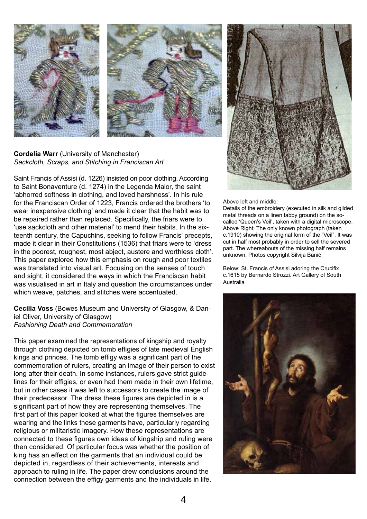



**Cordelia Warr** (University of Manchester) *Sackcloth, Scraps, and Stitching in Franciscan Art*

Saint Francis of Assisi (d. 1226) insisted on poor clothing. According to Saint Bonaventure (d. 1274) in the Legenda Maior, the saint 'abhorred softness in clothing, and loved harshness'. In his rule for the Franciscan Order of 1223, Francis ordered the brothers 'to wear inexpensive clothing' and made it clear that the habit was to be repaired rather than replaced. Specifically, the friars were to 'use sackcloth and other material' to mend their habits. In the sixteenth century, the Capuchins, seeking to follow Francis' precepts, made it clear in their Constitutions (1536) that friars were to 'dress in the poorest, roughest, most abject, austere and worthless cloth'. This paper explored how this emphasis on rough and poor textiles was translated into visual art. Focusing on the senses of touch and sight, it considered the ways in which the Franciscan habit was visualised in art in Italy and question the circumstances under which weave, patches, and stitches were accentuated.

**Cecilia Voss** (Bowes Museum and University of Glasgow, & Daniel Oliver, University of Glasgow) *Fashioning Death and Commemoration*

This paper examined the representations of kingship and royalty through clothing depicted on tomb effigies of late medieval English kings and princes. The tomb effigy was a significant part of the commemoration of rulers, creating an image of their person to exist long after their death. In some instances, rulers gave strict guidelines for their effigies, or even had them made in their own lifetime, but in other cases it was left to successors to create the image of their predecessor. The dress these figures are depicted in is a significant part of how they are representing themselves. The first part of this paper looked at what the figures themselves are wearing and the links these garments have, particularly regarding religious or militaristic imagery. How these representations are connected to these figures own ideas of kingship and ruling were then considered. Of particular focus was whether the position of king has an effect on the garments that an individual could be depicted in, regardless of their achievements, interests and approach to ruling in life. The paper drew conclusions around the connection between the effigy garments and the individuals in life.



Above left and middle:

Details of the embroidery (executed in silk and gilded metal threads on a linen tabby ground) on the socalled 'Queen's Veil', taken with a digital microscope. Above Right: The only known photograph (taken c.1910) showing the original form of the "Veil". It was cut in half most probably in order to sell the severed part. The whereabouts of the missing half remains unknown. Photos copyright Silvija Banić

Below: St. Francis of Assisi adoring the Crucifix c.1615 by Bernardo Strozzi. Art Gallery of South Australia

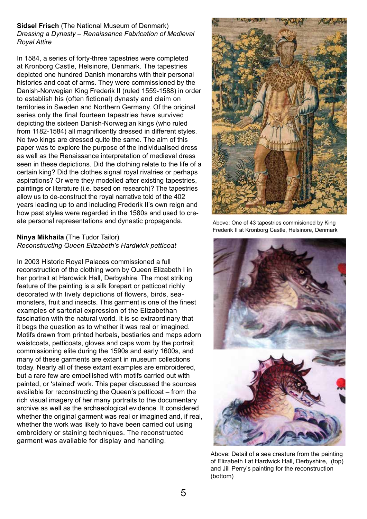**Sidsel Frisch** (The National Museum of Denmark) *Dressing a Dynasty – Renaissance Fabrication of Medieval Royal Attire*

In 1584, a series of forty-three tapestries were completed at Kronborg Castle, Helsinore, Denmark. The tapestries depicted one hundred Danish monarchs with their personal histories and coat of arms. They were commissioned by the Danish-Norwegian King Frederik II (ruled 1559-1588) in order to establish his (often fictional) dynasty and claim on territories in Sweden and Northern Germany. Of the original series only the final fourteen tapestries have survived depicting the sixteen Danish-Norwegian kings (who ruled from 1182-1584) all magnificently dressed in different styles. No two kings are dressed quite the same. The aim of this paper was to explore the purpose of the individualised dress as well as the Renaissance interpretation of medieval dress seen in these depictions. Did the clothing relate to the life of a certain king? Did the clothes signal royal rivalries or perhaps aspirations? Or were they modelled after existing tapestries, paintings or literature (i.e. based on research)? The tapestries allow us to de-construct the royal narrative told of the 402 years leading up to and including Frederik II's own reign and how past styles were regarded in the 1580s and used to create personal representations and dynastic propaganda.

### **Ninya Mikhaila** (The Tudor Tailor) *Reconstructing Queen Elizabeth's Hardwick petticoat*

In 2003 Historic Royal Palaces commissioned a full reconstruction of the clothing worn by Queen Elizabeth I in her portrait at Hardwick Hall, Derbyshire. The most striking feature of the painting is a silk forepart or petticoat richly decorated with lively depictions of flowers, birds, seamonsters, fruit and insects. This garment is one of the finest examples of sartorial expression of the Elizabethan fascination with the natural world. It is so extraordinary that it begs the question as to whether it was real or imagined. Motifs drawn from printed herbals, bestiaries and maps adorn waistcoats, petticoats, gloves and caps worn by the portrait commissioning elite during the 1590s and early 1600s, and many of these garments are extant in museum collections today. Nearly all of these extant examples are embroidered, but a rare few are embellished with motifs carried out with painted, or 'stained' work. This paper discussed the sources available for reconstructing the Queen's petticoat – from the rich visual imagery of her many portraits to the documentary archive as well as the archaeological evidence. It considered whether the original garment was real or imagined and, if real, whether the work was likely to have been carried out using embroidery or staining techniques. The reconstructed garment was available for display and handling.



Above: One of 43 tapestries commisioned by King Frederik II at Kronborg Castle, Helsinore, Denmark



Above: Detail of a sea creature from the painting of Elizabeth I at Hardwick Hall, Derbyshire, (top) and Jill Perry's painting for the reconstruction (bottom)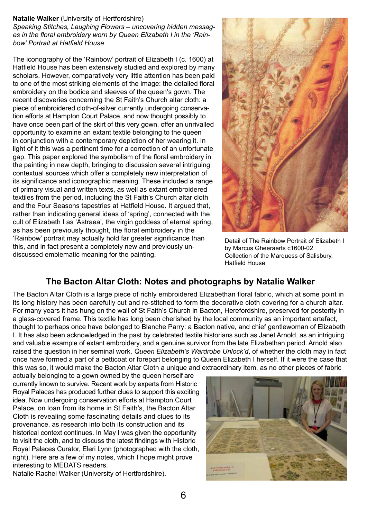### **Natalie Walker** (University of Hertfordshire)

*Speaking Stitches, Laughing Flowers – uncovering hidden messages in the floral embroidery worn by Queen Elizabeth I in the 'Rainbow' Portrait at Hatfield House*

The iconography of the 'Rainbow' portrait of Elizabeth I (c. 1600) at Hatfield House has been extensively studied and explored by many scholars. However, comparatively very little attention has been paid to one of the most striking elements of the image: the detailed floral embroidery on the bodice and sleeves of the queen's gown. The recent discoveries concerning the St Faith's Church altar cloth: a piece of embroidered cloth-of-silver currently undergoing conservation efforts at Hampton Court Palace, and now thought possibly to have once been part of the skirt of this very gown, offer an unrivalled opportunity to examine an extant textile belonging to the queen in conjunction with a contemporary depiction of her wearing it. In light of it this was a pertinent time for a correction of an unfortunate gap. This paper explored the symbolism of the floral embroidery in the painting in new depth, bringing to discussion several intriguing contextual sources which offer a completely new interpretation of its significance and iconographic meaning. These included a range of primary visual and written texts, as well as extant embroidered textiles from the period, including the St Faith's Church altar cloth and the Four Seasons tapestries at Hatfield House. It argued that, rather than indicating general ideas of 'spring', connected with the cult of Elizabeth I as 'Astraea', the virgin goddess of eternal spring, as has been previously thought, the floral embroidery in the 'Rainbow' portrait may actually hold far greater significance than this, and in fact present a completely new and previously undiscussed emblematic meaning for the painting.



Detail of The Rainbow Portrait of Elizabeth I by Marcus Gheeraerts c1600-02 Collection of the Marquess of Salisbury, Hatfield House

### **The Bacton Altar Cloth: Notes and photographs by Natalie Walker**

The Bacton Altar Cloth is a large piece of richly embroidered Elizabethan floral fabric, which at some point in its long history has been carefully cut and re-stitched to form the decorative cloth covering for a church altar. For many years it has hung on the wall of St Faith's Church in Bacton, Herefordshire, preserved for posterity in a glass-covered frame. This textile has long been cherished by the local community as an important artefact, thought to perhaps once have belonged to Blanche Parry: a Bacton native, and chief gentlewoman of Elizabeth I. It has also been acknowledged in the past by celebrated textile historians such as Janet Arnold, as an intriguing and valuable example of extant embroidery, and a genuine survivor from the late Elizabethan period. Arnold also raised the question in her seminal work, *Queen Elizabeth's Wardrobe Unlock'd*, of whether the cloth may in fact once have formed a part of a petticoat or forepart belonging to Queen Elizabeth I herself. If it were the case that this was so, it would make the Bacton Altar Cloth a unique and extraordinary item, as no other pieces of fabric

actually belonging to a gown owned by the queen herself are currently known to survive. Recent work by experts from Historic Royal Palaces has produced further clues to support this exciting idea. Now undergoing conservation efforts at Hampton Court Palace, on loan from its home in St Faith's, the Bacton Altar Cloth is revealing some fascinating details and clues to its provenance, as research into both its construction and its historical context continues. In May I was given the opportunity to visit the cloth, and to discuss the latest findings with Historic Royal Palaces Curator, Eleri Lynn (photographed with the cloth, right). Here are a few of my notes, which I hope might prove interesting to MEDATS readers.

Natalie Rachel Walker (University of Hertfordshire).

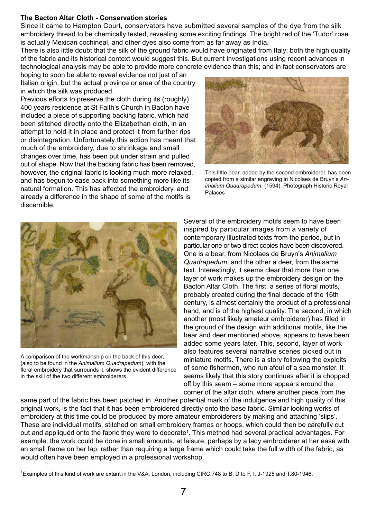### **The Bacton Altar Cloth - Conservation stories**

Since it came to Hampton Court, conservators have submitted several samples of the dye from the silk embroidery thread to be chemically tested, revealing some exciting findings. The bright red of the 'Tudor' rose is actually Mexican cochineal, and other dyes also come from as far away as India.

There is also little doubt that the silk of the ground fabric would have originated from Italy: both the high quality of the fabric and its historical context would suggest this. But current investigations using recent advances in technological analysis may be able to provide more concrete evidence than this; and in fact conservators are

hoping to soon be able to reveal evidence not just of an Italian origin, but the actual province or area of the country in which the silk was produced.

Previous efforts to preserve the cloth during its (roughly) 400 years residence at St Faith's Church in Bacton have included a piece of supporting backing fabric, which had been stitched directly onto the Elizabethan cloth, in an attempt to hold it in place and protect it from further rips or disintegration. Unfortunately this action has meant that much of the embroidery, due to shrinkage and small changes over time, has been put under strain and pulled out of shape. Now that the backing fabric has been removed, however, the original fabric is looking much more relaxed. and has begun to ease back into something more like its natural formation. This has affected the embroidery, and already a difference in the shape of some of the motifs is discernible.



This little bear, added by the second embroiderer, has been copied from a similar engraving in Nicolaes de Bruyn's *Animalium Quadrapedum*, (1594). Photograph Historic Royal Palaces



A comparison of the workmanship on the back of this deer, (also to be found in the *Animalium Quadrapedum*), with the floral embroidery that surrounds it, shows the evident difference in the skill of the two different embroiderers.

Several of the embroidery motifs seem to have been inspired by particular images from a variety of contemporary illustrated texts from the period, but in particular one or two direct copies have been discovered. One is a bear, from Nicolaes de Bruyn's *Animalium Quadrapedum*, and the other a deer, from the same text. Interestingly, it seems clear that more than one layer of work makes up the embroidery design on the Bacton Altar Cloth. The first, a series of floral motifs, probably created during the final decade of the 16th century, is almost certainly the product of a professional hand, and is of the highest quality. The second, in which another (most likely amateur embroiderer) has filled in the ground of the design with additional motifs, like the bear and deer mentioned above, appears to have been added some years later. This, second, layer of work also features several narrative scenes picked out in miniature motifs. There is a story following the exploits of some fishermen, who run afoul of a sea monster. It seems likely that this story continues after it is chopped off by this seam – some more appears around the corner of the altar cloth, where another piece from the

same part of the fabric has been patched in. Another potential mark of the indulgence and high quality of this original work, is the fact that it has been embroidered directly onto the base fabric. Similar looking works of embroidery at this time could be produced by more amateur embroiderers by making and attaching 'slips'. These are individual motifs, stitched on small embroidery frames or hoops, which could then be carefully cut out and appliquéd onto the fabric they were to decorate<sup>1</sup>. This method had several practical advantages. For example: the work could be done in small amounts, at leisure, perhaps by a lady embroiderer at her ease with an small frame on her lap; rather than requiring a large frame which could take the full width of the fabric, as would often have been employed in a professional workshop.

<sup>1</sup> Examples of this kind of work are extant in the V&A, London, including CIRC.748 to B, D to F, I, J-1925 and T.80-1946.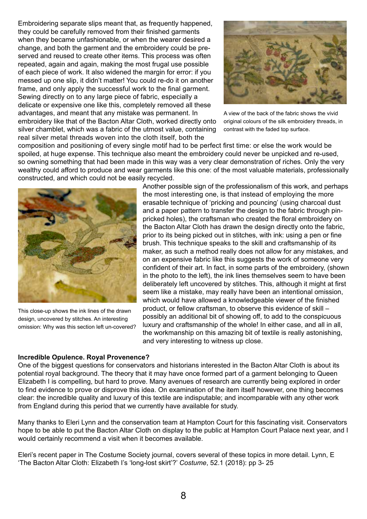Embroidering separate slips meant that, as frequently happened, they could be carefully removed from their finished garments when they became unfashionable, or when the wearer desired a change, and both the garment and the embroidery could be preserved and reused to create other items. This process was often repeated, again and again, making the most frugal use possible of each piece of work. It also widened the margin for error: if you messed up one slip, it didn't matter! You could re-do it on another frame, and only apply the successful work to the final garment. Sewing directly on to any large piece of fabric, especially a delicate or expensive one like this, completely removed all these advantages, and meant that any mistake was permanent. In embroidery like that of the Bacton Altar Cloth, worked directly onto silver chamblet, which was a fabric of the utmost value, containing real silver metal threads woven into the cloth itself, both the



A view of the back of the fabric shows the vivid original colours of the silk embroidery threads, in contrast with the faded top surface.

composition and positioning of every single motif had to be perfect first time: or else the work would be spoiled, at huge expense. This technique also meant the embroidery could never be unpicked and re-used, so owning something that had been made in this way was a very clear demonstration of riches. Only the very wealthy could afford to produce and wear garments like this one: of the most valuable materials, professionally constructed, and which could not be easily recycled.



This close-up shows the ink lines of the drawn design, uncovered by stitches. An interesting omission: Why was this section left un-covered?

#### **Incredible Opulence. Royal Provenence?**

Another possible sign of the professionalism of this work, and perhaps the most interesting one, is that instead of employing the more erasable technique of 'pricking and pouncing' (using charcoal dust and a paper pattern to transfer the design to the fabric through pinpricked holes), the craftsman who created the floral embroidery on the Bacton Altar Cloth has drawn the design directly onto the fabric, prior to its being picked out in stitches, with ink: using a pen or fine brush. This technique speaks to the skill and craftsmanship of its maker, as such a method really does not allow for any mistakes, and on an expensive fabric like this suggests the work of someone very confident of their art. In fact, in some parts of the embroidery, (shown in the photo to the left), the ink lines themselves seem to have been deliberately left uncovered by stitches. This, although it might at first seem like a mistake, may really have been an intentional omission, which would have allowed a knowledgeable viewer of the finished product, or fellow craftsman, to observe this evidence of skill – possibly an additional bit of showing off, to add to the conspicuous luxury and craftsmanship of the whole! In either case, and all in all, the workmanship on this amazing bit of textile is really astonishing, and very interesting to witness up close.

One of the biggest questions for conservators and historians interested in the Bacton Altar Cloth is about its potential royal background. The theory that it may have once formed part of a garment belonging to Queen Elizabeth I is compelling, but hard to prove. Many avenues of research are currently being explored in order to find evidence to prove or disprove this idea. On examination of the item itself however, one thing becomes clear: the incredible quality and luxury of this textile are indisputable; and incomparable with any other work from England during this period that we currently have available for study.

Many thanks to Eleri Lynn and the conservation team at Hampton Court for this fascinating visit. Conservators hope to be able to put the Bacton Altar Cloth on display to the public at Hampton Court Palace next year, and I would certainly recommend a visit when it becomes available.

Eleri's recent paper in The Costume Society journal, covers several of these topics in more detail. Lynn, E 'The Bacton Altar Cloth: Elizabeth I's 'long-lost skirt'?' *Costume*, 52.1 (2018): pp 3- 25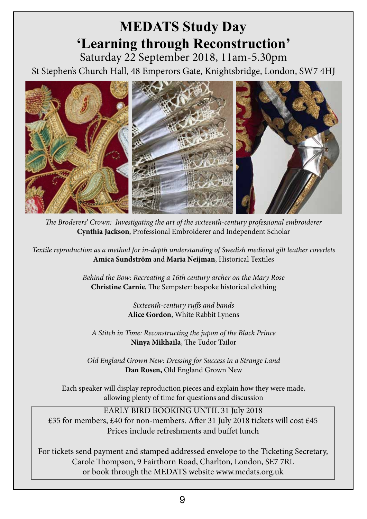### **MEDATS Study Day 'Learning through Reconstruction'** Saturday 22 September 2018, 11am-5.30pm

St Stephen's Church Hall, 48 Emperors Gate, Knightsbridge, London, SW7 4HJ



*The Broderers' Crown: Investigating the art of the sixteenth-century professional embroiderer* **Cynthia Jackson**, Professional Embroiderer and Independent Scholar

*Textile reproduction as a method for in-depth understanding of Swedish medieval gilt leather coverlets*  **Amica Sundström** and **Maria Neijman**, Historical Textiles

> *Behind the Bow: Recreating a 16th century archer on the Mary Rose* **Christine Carnie**, The Sempster: bespoke historical clothing

> > *Sixteenth-century ruffs and bands*  **Alice Gordon**, White Rabbit Lynens

*A Stitch in Time: Reconstructing the jupon of the Black Prince*  **Ninya Mikhaila**, The Tudor Tailor

*Old England Grown New: Dressing for Success in a Strange Land* **Dan Rosen,** Old England Grown New

Each speaker will display reproduction pieces and explain how they were made, allowing plenty of time for questions and discussion

EARLY BIRD BOOKING UNTIL 31 July 2018 £35 for members, £40 for non-members. After 31 July 2018 tickets will cost £45 Prices include refreshments and buffet lunch

For tickets send payment and stamped addressed envelope to the Ticketing Secretary, Carole Thompson, 9 Fairthorn Road, Charlton, London, SE7 7RL or book through the MEDATS website www.medats.org.uk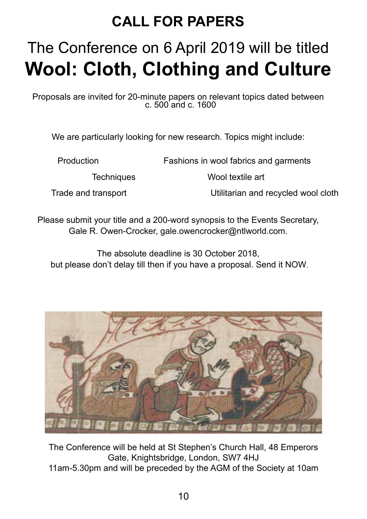## **CALL FOR PAPERS**

# The Conference on 6 April 2019 will be titled **Wool: Cloth, Clothing and Culture**

Proposals are invited for 20-minute papers on relevant topics dated between c. 500 and c. 1600

We are particularly looking for new research. Topics might include:

Production Fashions in wool fabrics and garments

Techniques Wool textile art

Trade and transport Utilitarian and recycled wool cloth

Please submit your title and a 200-word synopsis to the Events Secretary, Gale R. Owen-Crocker, gale.owencrocker@ntlworld.com.

The absolute deadline is 30 October 2018, but please don't delay till then if you have a proposal. Send it NOW.



The Conference will be held at St Stephen's Church Hall, 48 Emperors Gate, Knightsbridge, London, SW7 4HJ

11am-5.30pm and will be preceded by the AGM of the Society at 10am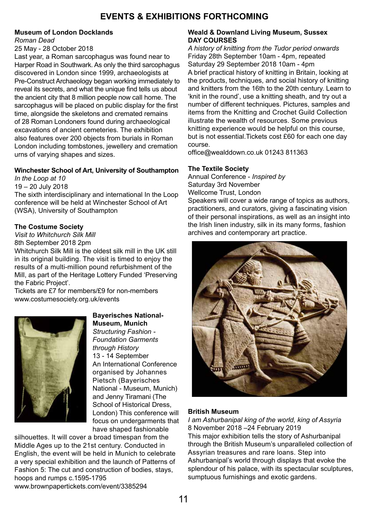### **EVENTS & EXHIBITIONS FORTHCOMING**

### **Museum of London Docklands**

#### *Roman Dead*

25 May - 28 October 2018

Last year, a Roman sarcophagus was found near to Harper Road in Southwark. As only the third sarcophagus discovered in London since 1999, archaeologists at Pre-Construct Archaeology began working immediately to reveal its secrets, and what the unique find tells us about the ancient city that 8 million people now call home. The sarcophagus will be placed on public display for the first time, alongside the skeletons and cremated remains of 28 Roman Londoners found during archaeological excavations of ancient cemeteries. The exhibition also features over 200 objects from burials in Roman London including tombstones, jewellery and cremation urns of varying shapes and sizes.

### **Winchester School of Art, University of Southampton**

*In the Loop at 10*

19 – 20 July 2018 The sixth interdisciplinary and international In the Loop conference will be held at Winchester School of Art (WSA), University of Southampton

### **The Costume Society**

*Visit to Whitchurch Silk Mill* 8th September 2018 2pm

Whitchurch Silk Mill is the oldest silk mill in the UK still in its original building. The visit is timed to enjoy the results of a multi-million pound refurbishment of the Mill, as part of the Heritage Lottery Funded 'Preserving the Fabric Project'.

Tickets are £7 for members/£9 for non-members www.costumesociety.org.uk/events



**Bayerisches National-Museum, Munich** *Structuring Fashion - Foundation Garments through History* 13 - 14 September An International Conference organised by Johannes Pietsch (Bayerisches National - Museum, Munich) and Jenny Tiramani (The School of Historical Dress, London) This conference will focus on undergarments that have shaped fashionable

silhouettes. It will cover a broad timespan from the Middle Ages up to the 21st century. Conducted in English, the event will be held in Munich to celebrate a very special exhibition and the launch of Patterns of Fashion 5: The cut and construction of bodies, stays, hoops and rumps c.1595-1795 www.brownpapertickets.com/event/3385294

#### **Weald & Downland Living Museum, Sussex DAY COURSES**

*A history of knitting from the Tudor period onwards* Friday 28th September 10am - 4pm, repeated Saturday 29 September 2018 10am - 4pm A brief practical history of knitting in Britain, looking at the products, techniques, and social history of knitting and knitters from the 16th to the 20th century. Learn to 'knit in the round', use a knitting sheath, and try out a number of different techniques. Pictures, samples and items from the Knitting and Crochet Guild Collection illustrate the wealth of resources. Some previous knitting experience would be helpful on this course, but is not essential.Tickets cost £60 for each one day course.

office@wealddown.co.uk 01243 811363

### **The Textile Society**

Annual Conference - *Inspired by* Saturday 3rd November Wellcome Trust, London Speakers will cover a wide range of topics as authors,

practitioners, and curators, giving a fascinating vision of their personal inspirations, as well as an insight into the Irish linen industry, silk in its many forms, fashion archives and contemporary art practice.



### **British Museum**

*I am Ashurbanipal king of the world, king of Assyria* 8 November 2018 –24 February 2019 This major exhibition tells the story of Ashurbanipal through the British Museum's unparalleled collection of Assyrian treasures and rare loans. Step into Ashurbanipal's world through displays that evoke the splendour of his palace, with its spectacular sculptures, sumptuous furnishings and exotic gardens.